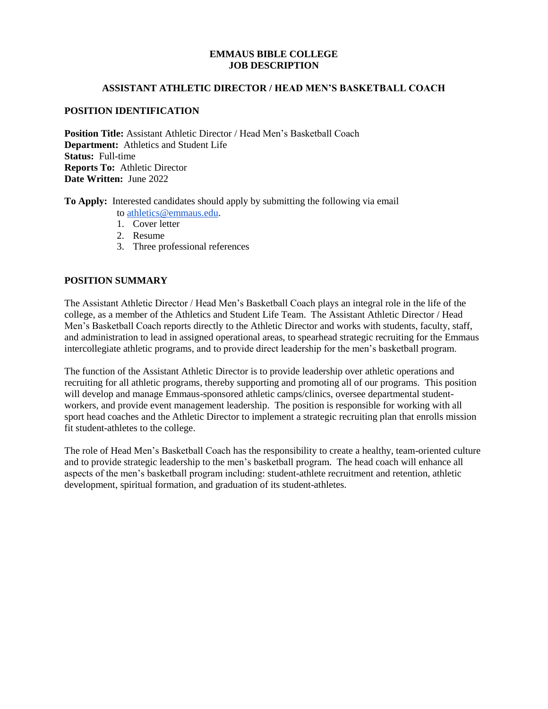#### **EMMAUS BIBLE COLLEGE JOB DESCRIPTION**

#### **ASSISTANT ATHLETIC DIRECTOR / HEAD MEN'S BASKETBALL COACH**

## **POSITION IDENTIFICATION**

**Position Title:** Assistant Athletic Director / Head Men's Basketball Coach **Department:** Athletics and Student Life **Status:** Full-time **Reports To:** Athletic Director **Date Written:** June 2022

**To Apply:** Interested candidates should apply by submitting the following via email to [athletics@emmaus.edu.](mailto:athletics@emmaus.edu)

- 1. Cover letter
- 
- 2. Resume
- 3. Three professional references

# **POSITION SUMMARY**

The Assistant Athletic Director / Head Men's Basketball Coach plays an integral role in the life of the college, as a member of the Athletics and Student Life Team. The Assistant Athletic Director / Head Men's Basketball Coach reports directly to the Athletic Director and works with students, faculty, staff, and administration to lead in assigned operational areas, to spearhead strategic recruiting for the Emmaus intercollegiate athletic programs, and to provide direct leadership for the men's basketball program.

The function of the Assistant Athletic Director is to provide leadership over athletic operations and recruiting for all athletic programs, thereby supporting and promoting all of our programs. This position will develop and manage Emmaus-sponsored athletic camps/clinics, oversee departmental studentworkers, and provide event management leadership. The position is responsible for working with all sport head coaches and the Athletic Director to implement a strategic recruiting plan that enrolls mission fit student-athletes to the college.

The role of Head Men's Basketball Coach has the responsibility to create a healthy, team-oriented culture and to provide strategic leadership to the men's basketball program. The head coach will enhance all aspects of the men's basketball program including: student-athlete recruitment and retention, athletic development, spiritual formation, and graduation of its student-athletes.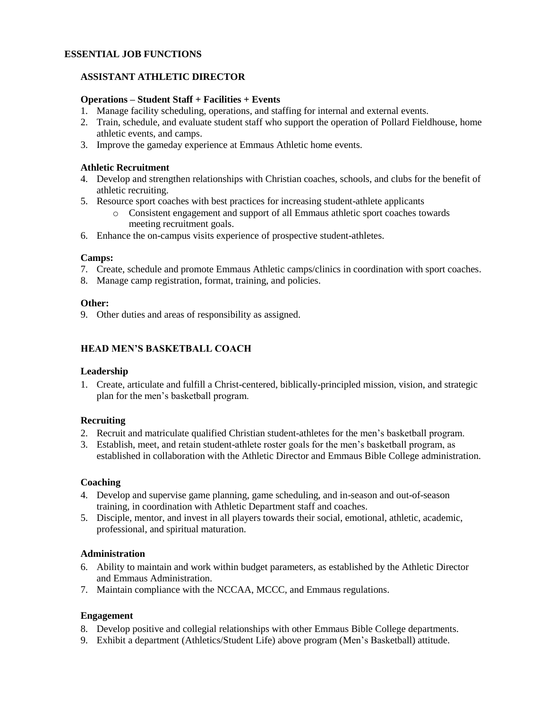# **ESSENTIAL JOB FUNCTIONS**

# **ASSISTANT ATHLETIC DIRECTOR**

#### **Operations – Student Staff + Facilities + Events**

- 1. Manage facility scheduling, operations, and staffing for internal and external events.
- 2. Train, schedule, and evaluate student staff who support the operation of Pollard Fieldhouse, home athletic events, and camps.
- 3. Improve the gameday experience at Emmaus Athletic home events.

# **Athletic Recruitment**

- 4. Develop and strengthen relationships with Christian coaches, schools, and clubs for the benefit of athletic recruiting.
- 5. Resource sport coaches with best practices for increasing student-athlete applicants
	- o Consistent engagement and support of all Emmaus athletic sport coaches towards meeting recruitment goals.
- 6. Enhance the on-campus visits experience of prospective student-athletes.

#### **Camps:**

- 7. Create, schedule and promote Emmaus Athletic camps/clinics in coordination with sport coaches.
- 8. Manage camp registration, format, training, and policies.

#### **Other:**

9. Other duties and areas of responsibility as assigned.

## **HEAD MEN'S BASKETBALL COACH**

#### **Leadership**

1. Create, articulate and fulfill a Christ-centered, biblically-principled mission, vision, and strategic plan for the men's basketball program.

## **Recruiting**

- 2. Recruit and matriculate qualified Christian student-athletes for the men's basketball program.
- 3. Establish, meet, and retain student-athlete roster goals for the men's basketball program, as established in collaboration with the Athletic Director and Emmaus Bible College administration.

#### **Coaching**

- 4. Develop and supervise game planning, game scheduling, and in-season and out-of-season training, in coordination with Athletic Department staff and coaches.
- 5. Disciple, mentor, and invest in all players towards their social, emotional, athletic, academic, professional, and spiritual maturation.

#### **Administration**

- 6. Ability to maintain and work within budget parameters, as established by the Athletic Director and Emmaus Administration.
- 7. Maintain compliance with the NCCAA, MCCC, and Emmaus regulations.

## **Engagement**

- 8. Develop positive and collegial relationships with other Emmaus Bible College departments.
- 9. Exhibit a department (Athletics/Student Life) above program (Men's Basketball) attitude.